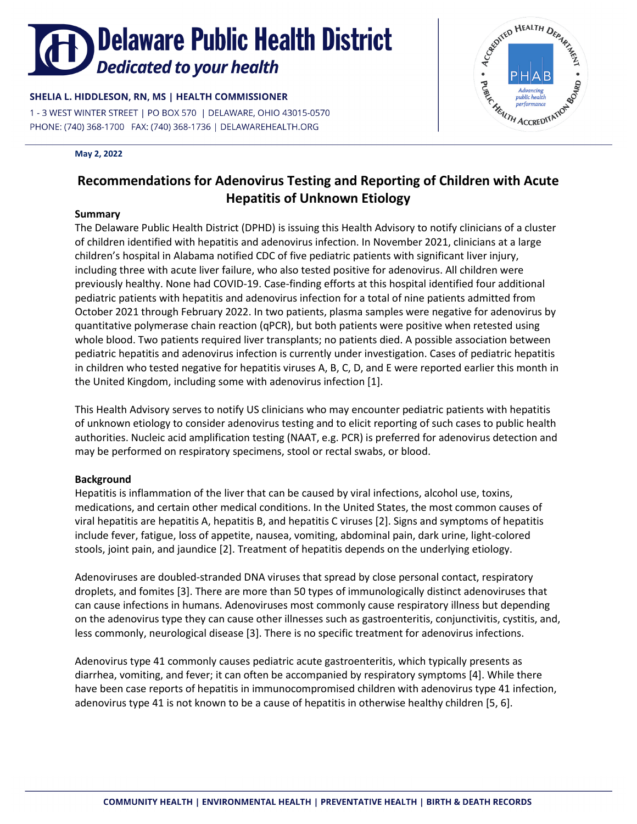# **Delaware Public Health District Dedicated to your health**

## SHELIA L. HIDDLESON, RN, MS | HEALTH COMMISSIONER

1 - 3 WEST WINTER STREET | PO BOX 570 | DELAWARE, OHIO 43015-0570 

### **May 2, 2022**



## **Recommendations for Adenovirus Testing and Reporting of Children with Acute Hepatitis of Unknown Etiology**

## **Summary**

The Delaware Public Health District (DPHD) is issuing this Health Advisory to notify clinicians of a cluster of children identified with hepatitis and adenovirus infection. In November 2021, clinicians at a large children's hospital in Alabama notified CDC of five pediatric patients with significant liver injury, including three with acute liver failure, who also tested positive for adenovirus. All children were previously healthy. None had COVID-19. Case-finding efforts at this hospital identified four additional pediatric patients with hepatitis and adenovirus infection for a total of nine patients admitted from October 2021 through February 2022. In two patients, plasma samples were negative for adenovirus by quantitative polymerase chain reaction (qPCR), but both patients were positive when retested using whole blood. Two patients required liver transplants; no patients died. A possible association between pediatric hepatitis and adenovirus infection is currently under investigation. Cases of pediatric hepatitis in children who tested negative for hepatitis viruses A, B, C, D, and E were reported earlier this month in the United Kingdom, including some with adenovirus infection [1].

This Health Advisory serves to notify US clinicians who may encounter pediatric patients with hepatitis of unknown etiology to consider adenovirus testing and to elicit reporting of such cases to public health authorities. Nucleic acid amplification testing (NAAT, e.g. PCR) is preferred for adenovirus detection and may be performed on respiratory specimens, stool or rectal swabs, or blood.

## **Background**

Hepatitis is inflammation of the liver that can be caused by viral infections, alcohol use, toxins, medications, and certain other medical conditions. In the United States, the most common causes of viral hepatitis are hepatitis A, hepatitis B, and hepatitis C viruses [2]. Signs and symptoms of hepatitis include fever, fatigue, loss of appetite, nausea, vomiting, abdominal pain, dark urine, light-colored stools, joint pain, and jaundice [2]. Treatment of hepatitis depends on the underlying etiology.

Adenoviruses are doubled-stranded DNA viruses that spread by close personal contact, respiratory droplets, and fomites [3]. There are more than 50 types of immunologically distinct adenoviruses that can cause infections in humans. Adenoviruses most commonly cause respiratory illness but depending on the adenovirus type they can cause other illnesses such as gastroenteritis, conjunctivitis, cystitis, and, less commonly, neurological disease [3]. There is no specific treatment for adenovirus infections.

Adenovirus type 41 commonly causes pediatric acute gastroenteritis, which typically presents as diarrhea, vomiting, and fever; it can often be accompanied by respiratory symptoms [4]. While there have been case reports of hepatitis in immunocompromised children with adenovirus type 41 infection, adenovirus type 41 is not known to be a cause of hepatitis in otherwise healthy children [5, 6].